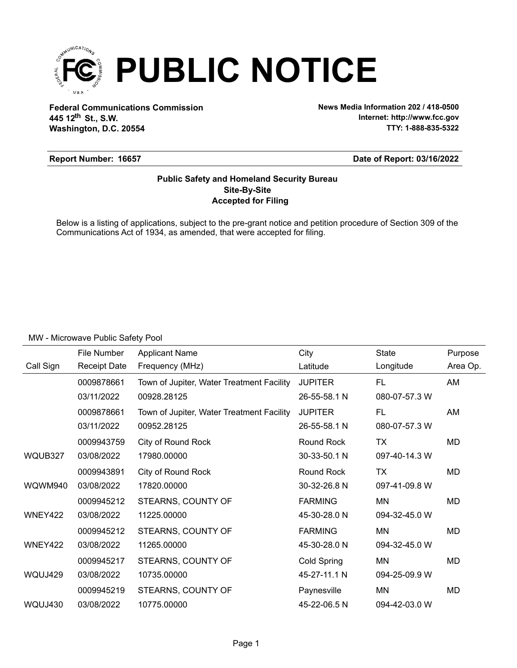

**Federal Communications Commission News Media Information 202 / 418-0500 Washington, D.C. 20554 th 445 12 St., S.W.**

**Internet: http://www.fcc.gov TTY: 1-888-835-5322**

### **Report Number: 16657**

### **Date of Report: 03/16/2022**

### **Accepted for Filing Site-By-Site Public Safety and Homeland Security Bureau**

Below is a listing of applications, subject to the pre-grant notice and petition procedure of Section 309 of the Communications Act of 1934, as amended, that were accepted for filing.

|           | File Number         | <b>Applicant Name</b>                     | City           | <b>State</b>  | Purpose   |
|-----------|---------------------|-------------------------------------------|----------------|---------------|-----------|
| Call Sign | <b>Receipt Date</b> | Frequency (MHz)                           | Latitude       | Longitude     | Area Op.  |
|           | 0009878661          | Town of Jupiter, Water Treatment Facility | <b>JUPITER</b> | <b>FL</b>     | AM        |
|           | 03/11/2022          | 00928.28125                               | 26-55-58.1 N   | 080-07-57.3 W |           |
|           | 0009878661          | Town of Jupiter, Water Treatment Facility | <b>JUPITER</b> | FL            | AM        |
|           | 03/11/2022          | 00952.28125                               | 26-55-58.1 N   | 080-07-57.3 W |           |
|           | 0009943759          | City of Round Rock                        | Round Rock     | TX            | MD        |
| WQUB327   | 03/08/2022          | 17980.00000                               | 30-33-50.1 N   | 097-40-14.3 W |           |
|           | 0009943891          | City of Round Rock                        | Round Rock     | <b>TX</b>     | MD        |
| WQWM940   | 03/08/2022          | 17820.00000                               | 30-32-26.8 N   | 097-41-09.8 W |           |
|           | 0009945212          | STEARNS, COUNTY OF                        | <b>FARMING</b> | <b>MN</b>     | MD        |
| WNEY422   | 03/08/2022          | 11225.00000                               | 45-30-28.0 N   | 094-32-45.0 W |           |
|           | 0009945212          | STEARNS, COUNTY OF                        | <b>FARMING</b> | <b>MN</b>     | MD        |
| WNEY422   | 03/08/2022          | 11265.00000                               | 45-30-28.0 N   | 094-32-45.0 W |           |
|           | 0009945217          | STEARNS, COUNTY OF                        | Cold Spring    | <b>MN</b>     | MD        |
| WQUJ429   | 03/08/2022          | 10735.00000                               | 45-27-11.1 N   | 094-25-09.9 W |           |
|           | 0009945219          | STEARNS, COUNTY OF                        | Paynesville    | MN            | <b>MD</b> |
| WQUJ430   | 03/08/2022          | 10775.00000                               | 45-22-06.5 N   | 094-42-03.0 W |           |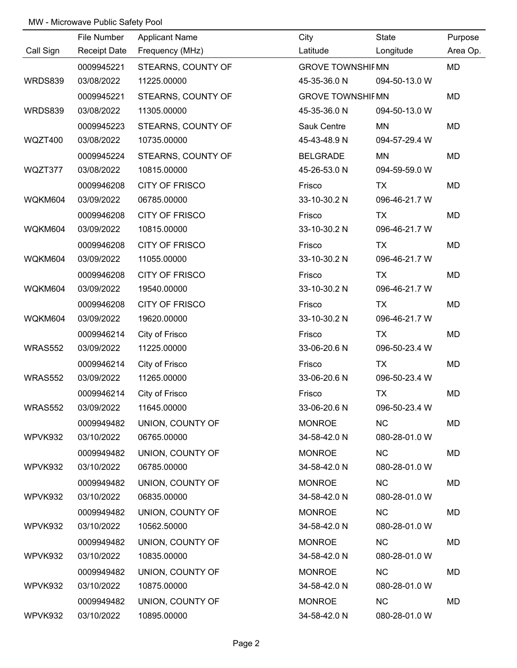|           | File Number         | <b>Applicant Name</b> | City                    | State         | Purpose   |
|-----------|---------------------|-----------------------|-------------------------|---------------|-----------|
| Call Sign | <b>Receipt Date</b> | Frequency (MHz)       | Latitude                | Longitude     | Area Op.  |
|           | 0009945221          | STEARNS, COUNTY OF    | <b>GROVE TOWNSHIFMN</b> |               | MD        |
| WRDS839   | 03/08/2022          | 11225.00000           | 45-35-36.0 N            | 094-50-13.0 W |           |
|           | 0009945221          | STEARNS, COUNTY OF    | <b>GROVE TOWNSHIFMN</b> |               | MD        |
| WRDS839   | 03/08/2022          | 11305.00000           | 45-35-36.0 N            | 094-50-13.0 W |           |
|           | 0009945223          | STEARNS, COUNTY OF    | Sauk Centre             | MN            | <b>MD</b> |
| WQZT400   | 03/08/2022          | 10735.00000           | 45-43-48.9 N            | 094-57-29.4 W |           |
|           | 0009945224          | STEARNS, COUNTY OF    | <b>BELGRADE</b>         | MN            | MD        |
| WQZT377   | 03/08/2022          | 10815.00000           | 45-26-53.0 N            | 094-59-59.0 W |           |
|           | 0009946208          | <b>CITY OF FRISCO</b> | Frisco                  | <b>TX</b>     | MD        |
| WQKM604   | 03/09/2022          | 06785.00000           | 33-10-30.2 N            | 096-46-21.7 W |           |
|           | 0009946208          | <b>CITY OF FRISCO</b> | Frisco                  | TX            | MD        |
| WQKM604   | 03/09/2022          | 10815.00000           | 33-10-30.2 N            | 096-46-21.7 W |           |
|           | 0009946208          | <b>CITY OF FRISCO</b> | Frisco                  | <b>TX</b>     | MD        |
| WQKM604   | 03/09/2022          | 11055.00000           | 33-10-30.2 N            | 096-46-21.7 W |           |
|           | 0009946208          | <b>CITY OF FRISCO</b> | Frisco                  | TX            | MD        |
| WQKM604   | 03/09/2022          | 19540.00000           | 33-10-30.2 N            | 096-46-21.7 W |           |
|           | 0009946208          | <b>CITY OF FRISCO</b> | Frisco                  | <b>TX</b>     | MD        |
| WQKM604   | 03/09/2022          | 19620.00000           | 33-10-30.2 N            | 096-46-21.7 W |           |
|           | 0009946214          | City of Frisco        | Frisco                  | <b>TX</b>     | MD        |
| WRAS552   | 03/09/2022          | 11225.00000           | 33-06-20.6 N            | 096-50-23.4 W |           |
|           | 0009946214          | City of Frisco        | Frisco                  | <b>TX</b>     | MD        |
| WRAS552   | 03/09/2022          | 11265.00000           | 33-06-20.6 N            | 096-50-23.4 W |           |
|           | 0009946214          | City of Frisco        | Frisco                  | <b>TX</b>     | MD        |
| WRAS552   | 03/09/2022          | 11645.00000           | 33-06-20.6 N            | 096-50-23.4 W |           |
|           | 0009949482          | UNION, COUNTY OF      | <b>MONROE</b>           | <b>NC</b>     | MD        |
| WPVK932   | 03/10/2022          | 06765.00000           | 34-58-42.0 N            | 080-28-01.0 W |           |
|           | 0009949482          | UNION, COUNTY OF      | <b>MONROE</b>           | <b>NC</b>     | MD        |
| WPVK932   | 03/10/2022          | 06785.00000           | 34-58-42.0 N            | 080-28-01.0 W |           |
|           | 0009949482          | UNION, COUNTY OF      | <b>MONROE</b>           | <b>NC</b>     | MD        |
| WPVK932   | 03/10/2022          | 06835.00000           | 34-58-42.0 N            | 080-28-01.0 W |           |
|           | 0009949482          | UNION, COUNTY OF      | <b>MONROE</b>           | <b>NC</b>     | MD        |
| WPVK932   | 03/10/2022          | 10562.50000           | 34-58-42.0 N            | 080-28-01.0 W |           |
|           | 0009949482          | UNION, COUNTY OF      | <b>MONROE</b>           | <b>NC</b>     | MD        |
| WPVK932   | 03/10/2022          | 10835.00000           | 34-58-42.0 N            | 080-28-01.0 W |           |
|           | 0009949482          | UNION, COUNTY OF      | <b>MONROE</b>           | <b>NC</b>     | MD        |
| WPVK932   | 03/10/2022          | 10875.00000           | 34-58-42.0 N            | 080-28-01.0 W |           |
|           | 0009949482          | UNION, COUNTY OF      | <b>MONROE</b>           | <b>NC</b>     | MD        |
| WPVK932   | 03/10/2022          | 10895.00000           | 34-58-42.0 N            | 080-28-01.0 W |           |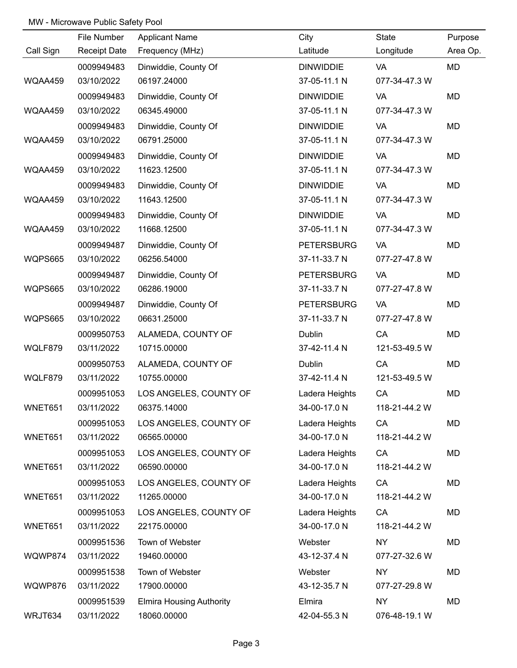|           | File Number         | <b>Applicant Name</b>           | City              | State         | Purpose   |
|-----------|---------------------|---------------------------------|-------------------|---------------|-----------|
| Call Sign | <b>Receipt Date</b> | Frequency (MHz)                 | Latitude          | Longitude     | Area Op.  |
|           | 0009949483          | Dinwiddie, County Of            | <b>DINWIDDIE</b>  | VA            | <b>MD</b> |
| WQAA459   | 03/10/2022          | 06197.24000                     | 37-05-11.1 N      | 077-34-47.3 W |           |
|           | 0009949483          | Dinwiddie, County Of            | <b>DINWIDDIE</b>  | <b>VA</b>     | <b>MD</b> |
| WQAA459   | 03/10/2022          | 06345.49000                     | 37-05-11.1 N      | 077-34-47.3 W |           |
|           | 0009949483          | Dinwiddie, County Of            | <b>DINWIDDIE</b>  | VA            | <b>MD</b> |
| WQAA459   | 03/10/2022          | 06791.25000                     | 37-05-11.1 N      | 077-34-47.3 W |           |
|           | 0009949483          | Dinwiddie, County Of            | <b>DINWIDDIE</b>  | VA            | MD        |
| WQAA459   | 03/10/2022          | 11623.12500                     | 37-05-11.1 N      | 077-34-47.3 W |           |
|           | 0009949483          | Dinwiddie, County Of            | <b>DINWIDDIE</b>  | VA            | MD        |
| WQAA459   | 03/10/2022          | 11643.12500                     | 37-05-11.1 N      | 077-34-47.3 W |           |
|           | 0009949483          | Dinwiddie, County Of            | <b>DINWIDDIE</b>  | <b>VA</b>     | MD        |
| WQAA459   | 03/10/2022          | 11668.12500                     | 37-05-11.1 N      | 077-34-47.3 W |           |
|           | 0009949487          | Dinwiddie, County Of            | <b>PETERSBURG</b> | <b>VA</b>     | MD        |
| WQPS665   | 03/10/2022          | 06256.54000                     | 37-11-33.7 N      | 077-27-47.8 W |           |
|           | 0009949487          | Dinwiddie, County Of            | <b>PETERSBURG</b> | <b>VA</b>     | MD        |
| WQPS665   | 03/10/2022          | 06286.19000                     | 37-11-33.7 N      | 077-27-47.8 W |           |
|           | 0009949487          | Dinwiddie, County Of            | <b>PETERSBURG</b> | <b>VA</b>     | MD        |
| WQPS665   | 03/10/2022          | 06631.25000                     | 37-11-33.7 N      | 077-27-47.8 W |           |
|           | 0009950753          | ALAMEDA, COUNTY OF              | <b>Dublin</b>     | CA            | MD        |
| WQLF879   | 03/11/2022          | 10715.00000                     | 37-42-11.4 N      | 121-53-49.5 W |           |
|           | 0009950753          | ALAMEDA, COUNTY OF              | Dublin            | CA            | MD        |
| WQLF879   | 03/11/2022          | 10755.00000                     | 37-42-11.4 N      | 121-53-49.5 W |           |
|           | 0009951053          | LOS ANGELES, COUNTY OF          | Ladera Heights    | CA            | MD        |
| WNET651   | 03/11/2022          | 06375.14000                     | 34-00-17.0 N      | 118-21-44.2 W |           |
|           | 0009951053          | LOS ANGELES, COUNTY OF          | Ladera Heights    | CA            | MD        |
| WNET651   | 03/11/2022          | 06565.00000                     | 34-00-17.0 N      | 118-21-44.2 W |           |
|           | 0009951053          | LOS ANGELES, COUNTY OF          | Ladera Heights    | CA            | MD        |
| WNET651   | 03/11/2022          | 06590.00000                     | 34-00-17.0 N      | 118-21-44.2 W |           |
|           | 0009951053          | LOS ANGELES, COUNTY OF          | Ladera Heights    | CA            | MD        |
| WNET651   | 03/11/2022          | 11265.00000                     | 34-00-17.0 N      | 118-21-44.2 W |           |
|           | 0009951053          | LOS ANGELES, COUNTY OF          | Ladera Heights    | CA            | MD        |
| WNET651   | 03/11/2022          | 22175.00000                     | 34-00-17.0 N      | 118-21-44.2 W |           |
|           | 0009951536          | Town of Webster                 | Webster           | <b>NY</b>     | MD        |
| WQWP874   | 03/11/2022          | 19460.00000                     | 43-12-37.4 N      | 077-27-32.6 W |           |
|           | 0009951538          | Town of Webster                 | Webster           | <b>NY</b>     | MD        |
| WQWP876   | 03/11/2022          | 17900.00000                     | 43-12-35.7 N      | 077-27-29.8 W |           |
|           | 0009951539          | <b>Elmira Housing Authority</b> | Elmira            | <b>NY</b>     | MD        |
| WRJT634   | 03/11/2022          | 18060.00000                     | 42-04-55.3 N      | 076-48-19.1 W |           |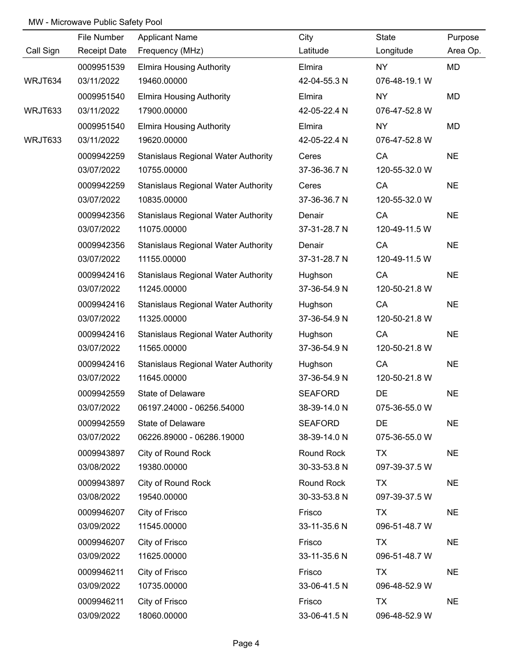|           | File Number         | <b>Applicant Name</b>                      | City           | State         | Purpose   |
|-----------|---------------------|--------------------------------------------|----------------|---------------|-----------|
| Call Sign | <b>Receipt Date</b> | Frequency (MHz)                            | Latitude       | Longitude     | Area Op.  |
|           | 0009951539          | <b>Elmira Housing Authority</b>            | Elmira         | NY            | MD        |
| WRJT634   | 03/11/2022          | 19460.00000                                | 42-04-55.3 N   | 076-48-19.1 W |           |
|           | 0009951540          | <b>Elmira Housing Authority</b>            | Elmira         | <b>NY</b>     | MD        |
| WRJT633   | 03/11/2022          | 17900.00000                                | 42-05-22.4 N   | 076-47-52.8 W |           |
|           | 0009951540          | <b>Elmira Housing Authority</b>            | Elmira         | <b>NY</b>     | MD        |
| WRJT633   | 03/11/2022          | 19620.00000                                | 42-05-22.4 N   | 076-47-52.8 W |           |
|           | 0009942259          | <b>Stanislaus Regional Water Authority</b> | Ceres          | CA            | <b>NE</b> |
|           | 03/07/2022          | 10755.00000                                | 37-36-36.7 N   | 120-55-32.0 W |           |
|           | 0009942259          | <b>Stanislaus Regional Water Authority</b> | Ceres          | CA            | <b>NE</b> |
|           | 03/07/2022          | 10835.00000                                | 37-36-36.7 N   | 120-55-32.0 W |           |
|           | 0009942356          | <b>Stanislaus Regional Water Authority</b> | Denair         | CA            | <b>NE</b> |
|           | 03/07/2022          | 11075.00000                                | 37-31-28.7 N   | 120-49-11.5 W |           |
|           | 0009942356          | <b>Stanislaus Regional Water Authority</b> | Denair         | CA            | <b>NE</b> |
|           | 03/07/2022          | 11155.00000                                | 37-31-28.7 N   | 120-49-11.5 W |           |
|           | 0009942416          | <b>Stanislaus Regional Water Authority</b> | Hughson        | CA            | <b>NE</b> |
|           | 03/07/2022          | 11245.00000                                | 37-36-54.9 N   | 120-50-21.8 W |           |
|           | 0009942416          | <b>Stanislaus Regional Water Authority</b> | Hughson        | CA            | <b>NE</b> |
|           | 03/07/2022          | 11325.00000                                | 37-36-54.9 N   | 120-50-21.8 W |           |
|           | 0009942416          | <b>Stanislaus Regional Water Authority</b> | Hughson        | CA            | <b>NE</b> |
|           | 03/07/2022          | 11565.00000                                | 37-36-54.9 N   | 120-50-21.8 W |           |
|           | 0009942416          | <b>Stanislaus Regional Water Authority</b> | Hughson        | CA            | <b>NE</b> |
|           | 03/07/2022          | 11645.00000                                | 37-36-54.9 N   | 120-50-21.8 W |           |
|           | 0009942559          | State of Delaware                          | <b>SEAFORD</b> | DE            | <b>NE</b> |
|           | 03/07/2022          | 06197.24000 - 06256.54000                  | 38-39-14.0 N   | 075-36-55.0 W |           |
|           | 0009942559          | State of Delaware                          | <b>SEAFORD</b> | <b>DE</b>     | <b>NE</b> |
|           | 03/07/2022          | 06226.89000 - 06286.19000                  | 38-39-14.0 N   | 075-36-55.0 W |           |
|           | 0009943897          | City of Round Rock                         | Round Rock     | <b>TX</b>     | <b>NE</b> |
|           | 03/08/2022          | 19380.00000                                | 30-33-53.8 N   | 097-39-37.5 W |           |
|           | 0009943897          | City of Round Rock                         | Round Rock     | <b>TX</b>     | <b>NE</b> |
|           | 03/08/2022          | 19540.00000                                | 30-33-53.8 N   | 097-39-37.5 W |           |
|           | 0009946207          | City of Frisco                             | Frisco         | TX            | <b>NE</b> |
|           | 03/09/2022          | 11545.00000                                | 33-11-35.6 N   | 096-51-48.7 W |           |
|           | 0009946207          | City of Frisco                             | Frisco         | <b>TX</b>     | <b>NE</b> |
|           | 03/09/2022          | 11625.00000                                | 33-11-35.6 N   | 096-51-48.7 W |           |
|           | 0009946211          | City of Frisco                             | Frisco         | <b>TX</b>     | <b>NE</b> |
|           | 03/09/2022          | 10735.00000                                | 33-06-41.5 N   | 096-48-52.9 W |           |
|           | 0009946211          | City of Frisco                             | Frisco         | <b>TX</b>     | <b>NE</b> |
|           | 03/09/2022          | 18060.00000                                | 33-06-41.5 N   | 096-48-52.9 W |           |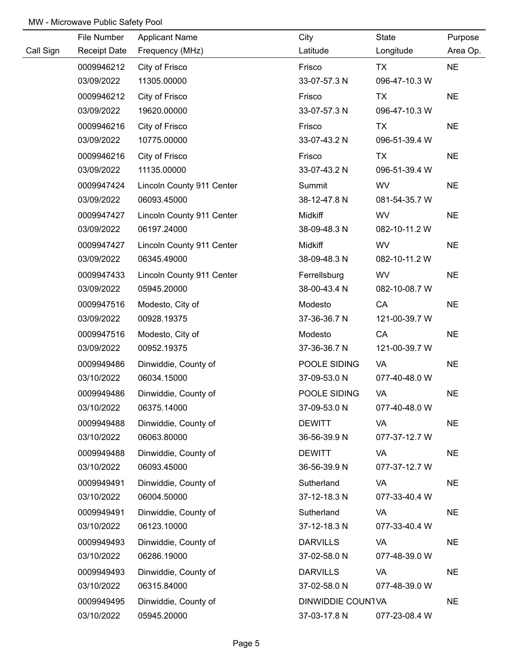|           | File Number         | <b>Applicant Name</b>     | City              | State         | Purpose   |
|-----------|---------------------|---------------------------|-------------------|---------------|-----------|
| Call Sign | <b>Receipt Date</b> | Frequency (MHz)           | Latitude          | Longitude     | Area Op.  |
|           | 0009946212          | City of Frisco            | Frisco            | <b>TX</b>     | <b>NE</b> |
|           | 03/09/2022          | 11305.00000               | 33-07-57.3 N      | 096-47-10.3 W |           |
|           | 0009946212          | City of Frisco            | Frisco            | <b>TX</b>     | <b>NE</b> |
|           | 03/09/2022          | 19620.00000               | 33-07-57.3 N      | 096-47-10.3 W |           |
|           | 0009946216          | City of Frisco            | Frisco            | <b>TX</b>     | <b>NE</b> |
|           | 03/09/2022          | 10775.00000               | 33-07-43.2 N      | 096-51-39.4 W |           |
|           | 0009946216          | City of Frisco            | Frisco            | <b>TX</b>     | <b>NE</b> |
|           | 03/09/2022          | 11135.00000               | 33-07-43.2 N      | 096-51-39.4 W |           |
|           | 0009947424          | Lincoln County 911 Center | Summit            | <b>WV</b>     | <b>NE</b> |
|           | 03/09/2022          | 06093.45000               | 38-12-47.8 N      | 081-54-35.7 W |           |
|           | 0009947427          | Lincoln County 911 Center | Midkiff           | <b>WV</b>     | <b>NE</b> |
|           | 03/09/2022          | 06197.24000               | 38-09-48.3 N      | 082-10-11.2 W |           |
|           | 0009947427          | Lincoln County 911 Center | Midkiff           | <b>WV</b>     | <b>NE</b> |
|           | 03/09/2022          | 06345.49000               | 38-09-48.3 N      | 082-10-11.2 W |           |
|           | 0009947433          | Lincoln County 911 Center | Ferrellsburg      | <b>WV</b>     | <b>NE</b> |
|           | 03/09/2022          | 05945.20000               | 38-00-43.4 N      | 082-10-08.7 W |           |
|           | 0009947516          | Modesto, City of          | Modesto           | CA            | <b>NE</b> |
|           | 03/09/2022          | 00928.19375               | 37-36-36.7 N      | 121-00-39.7 W |           |
|           | 0009947516          | Modesto, City of          | Modesto           | CA            | <b>NE</b> |
|           | 03/09/2022          | 00952.19375               | 37-36-36.7 N      | 121-00-39.7 W |           |
|           | 0009949486          | Dinwiddie, County of      | POOLE SIDING      | VA            | <b>NE</b> |
|           | 03/10/2022          | 06034.15000               | 37-09-53.0 N      | 077-40-48.0 W |           |
|           | 0009949486          | Dinwiddie, County of      | POOLE SIDING      | VA            | <b>NE</b> |
|           | 03/10/2022          | 06375.14000               | 37-09-53.0 N      | 077-40-48.0 W |           |
|           | 0009949488          | Dinwiddie, County of      | <b>DEWITT</b>     | VA            | <b>NE</b> |
|           | 03/10/2022          | 06063.80000               | 36-56-39.9 N      | 077-37-12.7 W |           |
|           | 0009949488          | Dinwiddie, County of      | <b>DEWITT</b>     | VA            | <b>NE</b> |
|           | 03/10/2022          | 06093.45000               | 36-56-39.9 N      | 077-37-12.7 W |           |
|           | 0009949491          | Dinwiddie, County of      | Sutherland        | VA            | <b>NE</b> |
|           | 03/10/2022          | 06004.50000               | 37-12-18.3 N      | 077-33-40.4 W |           |
|           | 0009949491          | Dinwiddie, County of      | Sutherland        | VA            | <b>NE</b> |
|           | 03/10/2022          | 06123.10000               | 37-12-18.3 N      | 077-33-40.4 W |           |
|           | 0009949493          | Dinwiddie, County of      | <b>DARVILLS</b>   | VA            | <b>NE</b> |
|           | 03/10/2022          | 06286.19000               | 37-02-58.0 N      | 077-48-39.0 W |           |
|           | 0009949493          | Dinwiddie, County of      | <b>DARVILLS</b>   | VA            | <b>NE</b> |
|           | 03/10/2022          | 06315.84000               | 37-02-58.0 N      | 077-48-39.0 W |           |
|           | 0009949495          | Dinwiddie, County of      | DINWIDDIE COUNTVA |               | <b>NE</b> |
|           | 03/10/2022          | 05945.20000               | 37-03-17.8 N      | 077-23-08.4 W |           |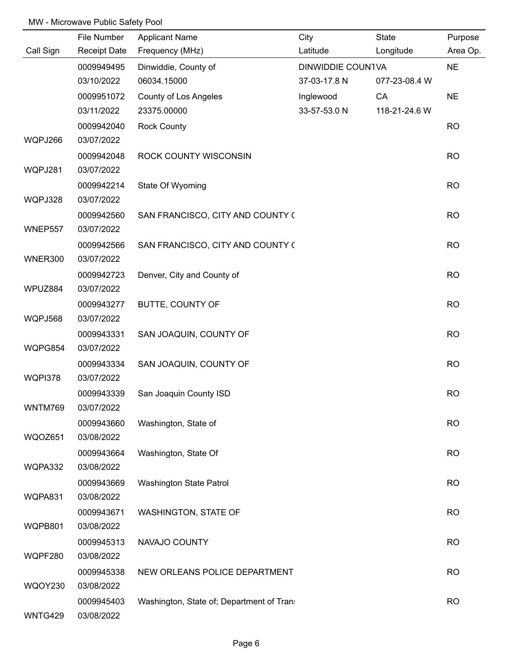|                | File Number              | <b>Applicant Name</b>                    | City              | State         | Purpose   |
|----------------|--------------------------|------------------------------------------|-------------------|---------------|-----------|
| Call Sign      | <b>Receipt Date</b>      | Frequency (MHz)                          | Latitude          | Longitude     | Area Op.  |
|                | 0009949495               | Dinwiddie, County of                     | DINWIDDIE COUNTVA |               | <b>NE</b> |
|                | 03/10/2022               | 06034.15000                              | 37-03-17.8 N      | 077-23-08.4 W |           |
|                | 0009951072               | County of Los Angeles                    | Inglewood         | CA            | <b>NE</b> |
|                | 03/11/2022               | 23375.00000                              | 33-57-53.0 N      | 118-21-24.6 W |           |
|                | 0009942040               | <b>Rock County</b>                       |                   |               | <b>RO</b> |
| WQPJ266        | 03/07/2022               |                                          |                   |               |           |
|                | 0009942048               | ROCK COUNTY WISCONSIN                    |                   |               | <b>RO</b> |
| WQPJ281        | 03/07/2022               |                                          |                   |               |           |
|                | 0009942214               | State Of Wyoming                         |                   |               | <b>RO</b> |
| WQPJ328        | 03/07/2022               |                                          |                   |               |           |
| WNEP557        | 0009942560<br>03/07/2022 | SAN FRANCISCO, CITY AND COUNTY (         |                   |               | <b>RO</b> |
| WNER300        | 0009942566<br>03/07/2022 | SAN FRANCISCO, CITY AND COUNTY (         |                   |               | <b>RO</b> |
|                | 0009942723               | Denver, City and County of               |                   |               | <b>RO</b> |
| WPUZ884        | 03/07/2022               |                                          |                   |               |           |
|                | 0009943277               | BUTTE, COUNTY OF                         |                   |               | <b>RO</b> |
| WQPJ568        | 03/07/2022               |                                          |                   |               |           |
|                | 0009943331               | SAN JOAQUIN, COUNTY OF                   |                   |               | <b>RO</b> |
| WQPG854        | 03/07/2022               |                                          |                   |               |           |
|                | 0009943334               | SAN JOAQUIN, COUNTY OF                   |                   |               | <b>RO</b> |
| WQPI378        | 03/07/2022               |                                          |                   |               |           |
|                | 0009943339               | San Joaquin County ISD                   |                   |               | <b>RO</b> |
| WNTM769        | 03/07/2022               |                                          |                   |               |           |
|                | 0009943660               | Washington, State of                     |                   |               | <b>RO</b> |
| WQOZ651        | 03/08/2022               |                                          |                   |               |           |
|                | 0009943664               | Washington, State Of                     |                   |               | <b>RO</b> |
| WQPA332        | 03/08/2022               |                                          |                   |               |           |
|                | 0009943669               | Washington State Patrol                  |                   |               | <b>RO</b> |
| WQPA831        | 03/08/2022               |                                          |                   |               |           |
|                | 0009943671               | <b>WASHINGTON, STATE OF</b>              |                   |               | <b>RO</b> |
| WQPB801        | 03/08/2022               |                                          |                   |               |           |
|                | 0009945313               | NAVAJO COUNTY                            |                   |               | <b>RO</b> |
| WQPF280        | 03/08/2022               |                                          |                   |               |           |
|                | 0009945338               | NEW ORLEANS POLICE DEPARTMENT            |                   |               | <b>RO</b> |
| <b>WQOY230</b> | 03/08/2022               |                                          |                   |               |           |
|                | 0009945403               | Washington, State of; Department of Tran |                   |               | <b>RO</b> |
| WNTG429        | 03/08/2022               |                                          |                   |               |           |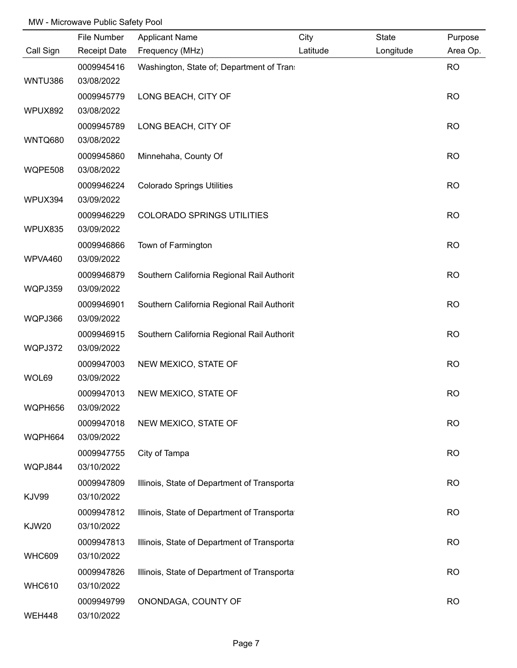|               | File Number              | <b>Applicant Name</b>                       | City     | State     | Purpose   |
|---------------|--------------------------|---------------------------------------------|----------|-----------|-----------|
| Call Sign     | <b>Receipt Date</b>      | Frequency (MHz)                             | Latitude | Longitude | Area Op.  |
|               | 0009945416               | Washington, State of; Department of Tran    |          |           | <b>RO</b> |
| WNTU386       | 03/08/2022               |                                             |          |           |           |
|               | 0009945779               | LONG BEACH, CITY OF                         |          |           | <b>RO</b> |
| WPUX892       | 03/08/2022               |                                             |          |           |           |
|               | 0009945789               | LONG BEACH, CITY OF                         |          |           | <b>RO</b> |
| WNTQ680       | 03/08/2022               |                                             |          |           |           |
|               | 0009945860               | Minnehaha, County Of                        |          |           | <b>RO</b> |
| WQPE508       | 03/08/2022               |                                             |          |           |           |
|               | 0009946224               | <b>Colorado Springs Utilities</b>           |          |           | <b>RO</b> |
| WPUX394       | 03/09/2022               |                                             |          |           |           |
|               | 0009946229               | <b>COLORADO SPRINGS UTILITIES</b>           |          |           | <b>RO</b> |
| WPUX835       | 03/09/2022               |                                             |          |           |           |
|               | 0009946866               | Town of Farmington                          |          |           | <b>RO</b> |
| WPVA460       | 03/09/2022               |                                             |          |           |           |
|               | 0009946879               | Southern California Regional Rail Authorit  |          |           | <b>RO</b> |
| WQPJ359       | 03/09/2022               |                                             |          |           |           |
|               | 0009946901               | Southern California Regional Rail Authorit  |          |           | <b>RO</b> |
| WQPJ366       | 03/09/2022               |                                             |          |           |           |
| WQPJ372       | 0009946915<br>03/09/2022 | Southern California Regional Rail Authorit  |          |           | <b>RO</b> |
|               | 0009947003               | NEW MEXICO, STATE OF                        |          |           | <b>RO</b> |
| WOL69         | 03/09/2022               |                                             |          |           |           |
|               | 0009947013               | NEW MEXICO, STATE OF                        |          |           | <b>RO</b> |
| WQPH656       | 03/09/2022               |                                             |          |           |           |
|               | 0009947018               | NEW MEXICO, STATE OF                        |          |           | <b>RO</b> |
| WQPH664       | 03/09/2022               |                                             |          |           |           |
|               | 0009947755               | City of Tampa                               |          |           | <b>RO</b> |
| WQPJ844       | 03/10/2022               |                                             |          |           |           |
|               | 0009947809               | Illinois, State of Department of Transporta |          |           | <b>RO</b> |
| <b>KJV99</b>  | 03/10/2022               |                                             |          |           |           |
|               | 0009947812               | Illinois, State of Department of Transporta |          |           | <b>RO</b> |
| <b>KJW20</b>  | 03/10/2022               |                                             |          |           |           |
|               | 0009947813               | Illinois, State of Department of Transporta |          |           | <b>RO</b> |
| <b>WHC609</b> | 03/10/2022               |                                             |          |           |           |
|               | 0009947826               | Illinois, State of Department of Transporta |          |           | <b>RO</b> |
| <b>WHC610</b> | 03/10/2022               |                                             |          |           |           |
|               | 0009949799               | ONONDAGA, COUNTY OF                         |          |           | <b>RO</b> |
| <b>WEH448</b> | 03/10/2022               |                                             |          |           |           |